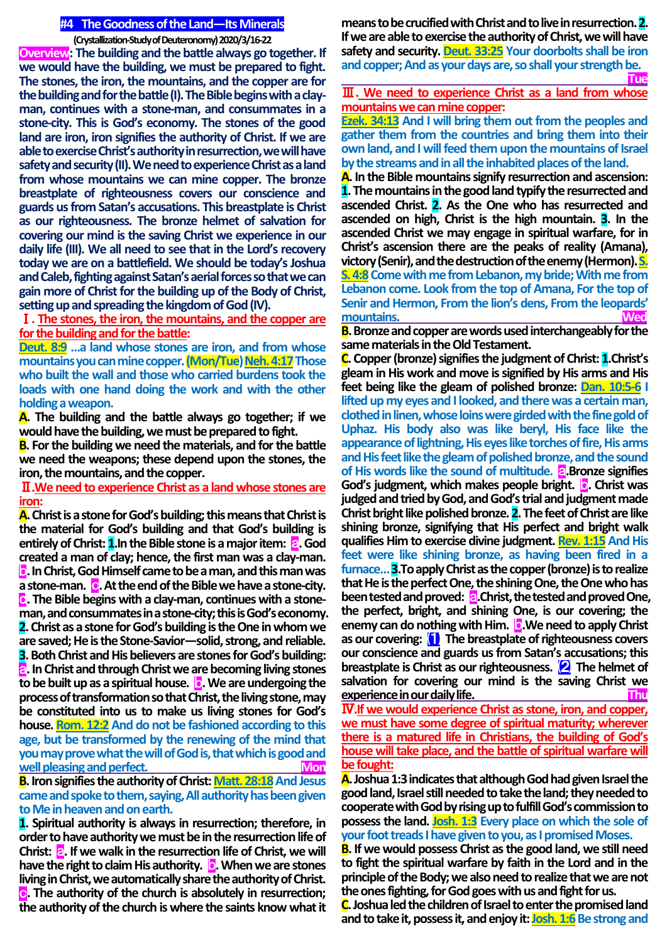## **#4 The Goodness of the Land—Its Minerals**

**(Crystallization-Study of Deuteronomy) 2020/3/16-22**

**Overview: The building and the battle always go together. If we would have the building, we must be prepared to fight. The stones, the iron, the mountains, and the copper are for the building and for the battle (I). The Bible begins with a clayman, continues with a stone-man, and consummates in a stone-city. This is God's economy. The stones of the good land are iron, iron signifies the authority of Christ. If we are able toexercise Christ's authority in resurrection, we will have safety and security (II). We need to experience Christ as a land from whose mountains we can mine copper. The bronze breastplate of righteousness covers our conscience and guards us from Satan's accusations. This breastplate is Christ as our righteousness. The bronze helmet of salvation for covering our mind is the saving Christ we experience in our daily life (III). We all need to see that in the Lord's recovery today we are on a battlefield. We should be today's Joshua and Caleb, fighting against Satan's aerial forces so that we can gain more of Christ for the building up of the Body of Christ, setting up and spreading the kingdom of God (IV).**

Ⅰ**. The stones, the iron, the mountains, and the copper are for the building and for the battle:**

**Deut. 8:9 …a land whose stones are iron, and from whose mountains you can mine copper. (Mon/Tue) Neh. 4:17Those who built the wall and those who carried burdens took the loads with one hand doing the work and with the other holding a weapon.**

**A. The building and the battle always go together; if we would have the building, we must be prepared to fight.**

**B. For the building we need the materials, and for the battle we need the weapons; these depend upon the stones, the iron, the mountains, and the copper.**

Ⅱ**.We need to experience Christ as a land whose stones are iron:**

**A.Christ is a stone for God's building; this means that Christ is the material for God's building and that God's building is entirely of Christ: 1.** In the Bible stone is a major item: **a.** God **created a man of clay; hence, the first man was a clay-man.**  b**.In Christ, God Himself came to be a man, and this man was a stone-man.** c**.At the end of the Bible we have a stone-city.**  d**. The Bible begins with a clay-man, continues with a stoneman, and consummates in a stone-city; this is God's economy. 2.Christ as a stone for God's building is the One in whom we are saved; He is the Stone-Savior—solid, strong, and reliable. 3. Both Christ and His believers are stones for God's building:**  a**.In Christ and through Christ we are becoming living stones to be built up as a spiritual house.** b**.We are undergoing the process of transformation so that Christ, the living stone, may be constituted into us to make us living stones for God's house. Rom. 12:2 And do not be fashioned according to this age, but be transformed by the renewing of the mind that you may prove what the will of God is, that which is good and well pleasing and perfect.** The contract of the **Mon** 

**B.** Iron signifies the authority of Christ: Matt. 28:18 And Jesus **came and spoke to them, saying, All authority has been given to Me in heaven and on earth.**

**1. Spiritual authority is always in resurrection; therefore, in order to have authority we must be in theresurrection life of Christ:** a**. If we walk in the resurrection life of Christ, we will have the right to claim His authority. <b>b.** When we are stones **living in Christ, we automatically share the authority of Christ.** c**. The authority of the church is absolutely in resurrection; the authority of the church is where the saints know what it** 

**means to be crucified with Christ and to live in resurrection. 2. If we are able to exercise the authority of Christ, we will have safety and security. Deut. 33:25 Your doorbolts shall be iron and copper; And as your days are, so shall your strength be. Tue**

Ⅲ**. We need to experience Christ as a land from whose mountains we can mine copper:** 

**Ezek. 34:13 And I will bring them out from the peoples and gather them from the countries and bring them into their own land, and I will feed them upon the mountains of Israel by the streams and in all the inhabited places of the land.**

**A. In the Bible mountains signify resurrection and ascension: 1.The mountains in the good land typify the resurrected and ascended Christ. 2. As the One who has resurrected and ascended on high, Christ is the high mountain. 3. In the ascended Christ we may engage in spiritual warfare, for in Christ's ascension there are the peaks of reality (Amana), victory (Senir), and the destruction of the enemy (Hermon). S. S. 4:8** Come with me from Lebanon, my bride; With me from **Lebanon come. Look from the top of Amana, For the top of Senir and Hermon, From the lion's dens, From the leopards' mountains. Wed**

**B.Bronze and copper are words used interchangeably for the same materials in the Old Testament.**

**C. Copper (bronze) signifies the judgment of Christ: 1.Christ's gleam in His work and move is signified by His arms and His feet being like the gleam of polished bronze: Dan. 10:5-6 I lifted up my eyes and I looked, and there was a certain man, clothed in linen, whose loins were girded with the fine gold of Uphaz. His body also was like beryl, His face like the appearance of lightning, His eyes like torches of fire, His arms and His feet like the gleam of polished bronze, and the sound of His words like the sound of multitude.** *a***.Bronze signifies God's judgment, which makes people bright.** b**. Christ was judged and tried by God, and God's trial and judgment made Christ bright like polished bronze. 2. The feet of Christ are like shining bronze, signifying that His perfect and bright walk qualifies Him to exercise divine judgment. Rev. 1:15 And His feet were like shining bronze, as having been fired in a furnace… 3.To apply Christ as the copper (bronze) is to realize that He is the perfect One, the shining One, the One who has been tested and proved:** a**.Christ, the tested and proved One, the perfect, bright, and shining One, is our covering; the enemy can do nothing with Him. <b>b**. We need to apply Christ **as our covering:** ⑴ **The breastplate of righteousness covers our conscience and guards us from Satan's accusations; this breastplate is Christ as our righteousness.** ⑵ **The helmet of salvation for covering our mind is the saving Christ we experience in our daily life.** 

Ⅳ**.If we would experience Christ as stone, iron, and copper, we must have some degree of spiritual maturity; wherever there is a matured life in Christians, the building of God's house will take place, and the battle of spiritual warfare will be fought:**

**A.Joshua 1:3 indicates that although God had given Israel the good land, Israel still needed to take the land; they needed to cooperate with God by rising up to fulfill God's commission to possess the land. Josh. 1:3 Every place on which the sole of your foot treads I have given to you, as I promised Moses.**

**B. If we would possess Christ as the good land, we still need to fight the spiritual warfare by faith in the Lord and in the principle of the Body; we also need to realize that we are not the ones fighting, for God goes with us and fight for us.**

**C.Joshua led the children of Israel to enter the promised land**  and to take it, possess it, and enjoy it: **Josh. 1:6** Be strong and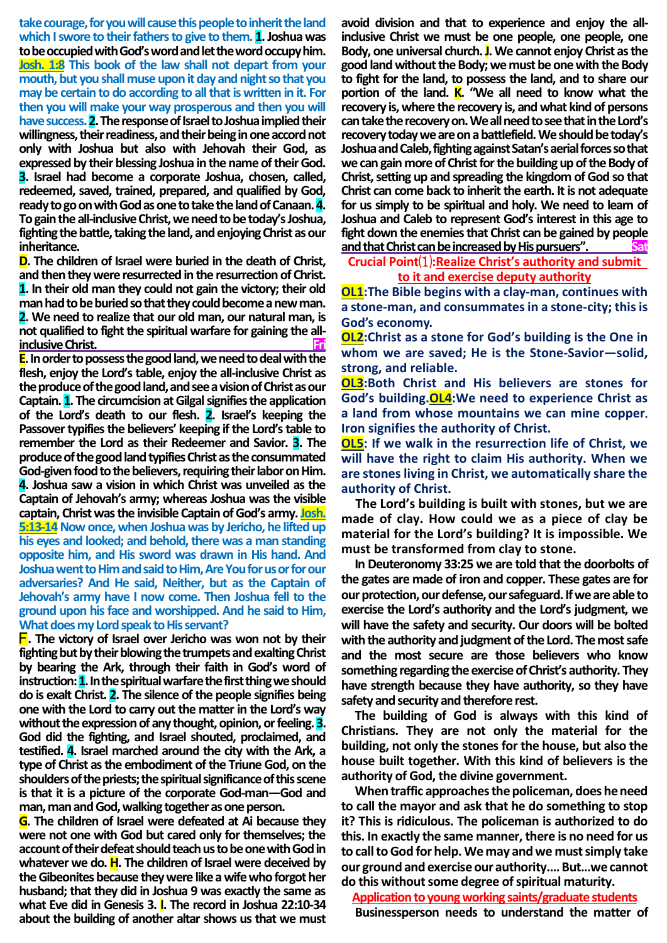**take courage, for you will cause this people to inherit the land which I swore to their fathers to give to them. 1. Joshua was to be occupied with God's word and let the word occupy him. Josh. 1:8 This book of the law shall not depart from your mouth, but you shall muse upon it day and night so that you may be certain to do according to all that is written in it. For then you will make your way prosperous and then you will have success. 2.The response of Israel to Joshua implied their willingness, their readiness, and their being in one accord not only with Joshua but also with Jehovah their God, as expressed by their blessing Joshua in the name of their God. 3. Israel had become a corporate Joshua, chosen, called, redeemed, saved, trained, prepared, and qualified by God, ready to go on with God as one to take the land of Canaan. 4. To gain the all-inclusive Christ, we need to be today's Joshua, fighting the battle, taking the land, and enjoying Christ as our inheritance.**

**D. The children of Israel were buried in the death of Christ, and then they were resurrected in the resurrection of Christ. 1. In their old man they could not gain the victory; their old man had to be buried so that they could become a new man. 2. We need to realize that our old man, our natural man, is not qualified to fight the spiritual warfare for gaining the allinclusive Christ.** 

**E.** In order to possess the good land, we need to deal with the **flesh, enjoy the Lord's table, enjoy the all-inclusive Christ as the produce of the good land, and see a vision of Christ as our Captain. 1. The circumcision at Gilgal signifies the application of the Lord's death to our flesh. 2. Israel's keeping the Passover typifies the believers' keeping if the Lord's table to remember the Lord as their Redeemer and Savior. 3. The produce of the good land typifies Christ as the consummated**  God-given food to the believers, requiring their labor on Him. **4. Joshua saw a vision in which Christ was unveiled as the Captain of Jehovah's army; whereas Joshua was the visible captain, Christ was the invisible Captain of God's army. Josh. 5:13-14 Now once, when Joshua was by Jericho, he lifted up his eyes and looked; and behold, there was a man standing opposite him, and His sword was drawn in His hand. And Joshua went to Him and said to Him, Are You for us or for our adversaries? And He said, Neither, but as the Captain of Jehovah's army have I now come. Then Joshua fell to the ground upon his face and worshipped. And he said to Him, What does my Lord speak to His servant?**

F**. The victory of Israel over Jericho was won not by their fighting but by their blowing the trumpets and exalting Christ by bearing the Ark, through their faith in God's word of instruction: 1.** In the spiritual warfare the first thing we should **do is exalt Christ. 2. The silence of the people signifies being one with the Lord to carry out the matter in the Lord's way without the expression of any thought, opinion, or feeling. 3. God did the fighting, and Israel shouted, proclaimed, and testified. 4. Israel marched around the city with the Ark, a type of Christ as the embodiment of the Triune God, on the shoulders of the priests; the spiritual significance of this scene is that it is a picture of the corporate God-man—God and man, man and God, walking together as one person.**

**G. The children of Israel were defeated at Ai because they were not one with God but cared only for themselves; the account of their defeat should teach us to be one with God in whatever we do. H. The children of Israel were deceived by the Gibeonites because they were like a wife who forgot her husband; that they did in Joshua 9 was exactly the same as what Eve did in Genesis 3. I. The record in Joshua 22:10-34 about the building of another altar shows us that we must** 

**avoid division and that to experience and enjoy the allinclusive Christ we must be one people, one people, one Body, one universal church. J.We cannot enjoy Christ as the good land without the Body; we must be one with the Body to fight for the land, to possess the land, and to share our portion of the land. K. "We all need to know what the recovery is, where the recovery is, and what kind of persons can take the recovery on. We all need to see that in the Lord's recovery today we are on a battlefield. We should be today's Joshua and Caleb, fighting against Satan's aerial forces so that we can gain more of Christ for the building up of the Body of Christ, setting up and spreading the kingdom of God so that Christ can come back to inherit the earth. It is not adequate for us simply to be spiritual and holy. We need to learn of Joshua and Caleb to represent God's interest in this age to fight down the enemies that Christ can be gained by people**  and that Christ can be increased by His pursuers".

## **Crucial Point**⑴**:Realize Christ's authority and submit to it and exercise deputy authority**

**OL1:The Bible begins with a clay-man, continues with a stone-man, and consummates in a stone-city; this is God's economy.**

**OL2:Christ as a stone for God's building is the One in whom we are saved; He is the Stone-Savior—solid, strong, and reliable.** 

**OL3:Both Christ and His believers are stones for God's building.OL4:We need to experience Christ as a land from whose mountains we can mine copper**. **Iron signifies the authority of Christ.**

**OL5: If we walk in the resurrection life of Christ, we will have the right to claim His authority. When we are stones living in Christ, we automatically share the authority of Christ.** 

**The Lord's building is built with stones, but we are made of clay. How could we as a piece of clay be material for the Lord's building? It is impossible. We must be transformed from clay to stone.**

**In Deuteronomy 33:25 we are told that the doorbolts of the gates are made of iron and copper. These gates are for our protection, our defense, our safeguard. If we are able to exercise the Lord's authority and the Lord's judgment, we will have the safety and security. Our doors will be bolted with the authority and judgment of the Lord. The most safe and the most secure are those believers who know something regarding the exercise of Christ's authority. They have strength because they have authority, so they have safety and security and therefore rest.**

**The building of God is always with this kind of Christians. They are not only the material for the building, not only the stones for the house, but also the house built together. With this kind of believers is the authority of God, the divine government.**

**When traffic approaches the policeman, does he need to call the mayor and ask that he do something to stop it? This is ridiculous. The policeman is authorized to do this. In exactly the same manner, there is no need for us to call to God for help. We may and we must simply take our ground and exercise our authority.…But…we cannot do this without some degree of spiritual maturity.**

**Application to young working saints/graduate students**

**Businessperson needs to understand the matter of**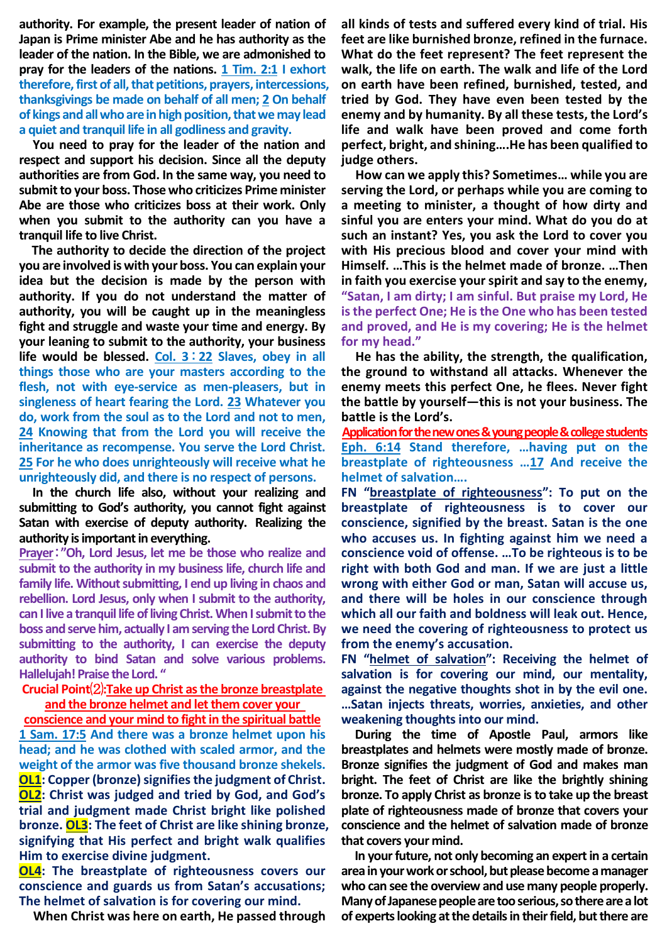**authority. For example, the present leader of nation of Japan is Prime minister Abe and he has authority as the leader of the nation. In the Bible, we are admonished to pray for the leaders of the nations. 1 Tim. 2:1 I exhort therefore, first of all, that petitions, prayers, intercessions, thanksgivings be made on behalf of all men; 2 On behalf of kings and all who are in high position, that we may lead a quiet and tranquil life in all godliness and gravity.**

**You need to pray for the leader of the nation and respect and support his decision. Since all the deputy authorities are from God. In the same way, you need to submit to your boss. Those who criticizes Prime minister Abe are those who criticizes boss at their work. Only when you submit to the authority can you have a tranquil life to live Christ.** 

**The authority to decide the direction of the project you are involved is with your boss. You can explain your idea but the decision is made by the person with authority. If you do not understand the matter of authority, you will be caught up in the meaningless fight and struggle and waste your time and energy. By your leaning to submit to the authority, your business life would be blessed. Col. 3**:**22 Slaves, obey in all things those who are your masters according to the flesh, not with eye-service as men-pleasers, but in singleness of heart fearing the Lord. 23 Whatever you do, work from the soul as to the Lord and not to men, 24 Knowing that from the Lord you will receive the inheritance as recompense. You serve the Lord Christ. 25 For he who does unrighteously will receive what he unrighteously did, and there is no respect of persons.**

**In the church life also, without your realizing and submitting to God's authority, you cannot fight against Satan with exercise of deputy authority. Realizing the authority is important in everything.** 

**Prayer**:**"Oh, Lord Jesus, let me be those who realize and submit to the authority in my business life, church life and family life. Without submitting, I end up living in chaos and rebellion. Lord Jesus, only when I submit to the authority, can I live a tranquil life of living Christ. When I submit to the boss and serve him, actually I am serving the Lord Christ. By submitting to the authority, I can exercise the deputy authority to bind Satan and solve various problems. Hallelujah! Praise the Lord. "**

## **Crucial Point**⑵**:Take up Christ as the bronze breastplate and the bronze helmet and let them cover your**

**conscience and your mind to fight in the spiritual battle 1 Sam. 17:5 And there was a bronze helmet upon his head; and he was clothed with scaled armor, and the weight of the armor was five thousand bronze shekels. OL1: Copper (bronze) signifies the judgment of Christ. OL2: Christ was judged and tried by God, and God's trial and judgment made Christ bright like polished bronze. OL3: The feet of Christ are like shining bronze, signifying that His perfect and bright walk qualifies Him to exercise divine judgment.**

**OL4: The breastplate of righteousness covers our conscience and guards us from Satan's accusations; The helmet of salvation is for covering our mind.**

**When Christ was here on earth, He passed through** 

**all kinds of tests and suffered every kind of trial. His feet are like burnished bronze, refined in the furnace. What do the feet represent? The feet represent the walk, the life on earth. The walk and life of the Lord on earth have been refined, burnished, tested, and tried by God. They have even been tested by the enemy and by humanity. By all these tests, the Lord's life and walk have been proved and come forth perfect, bright, and shining….He has been qualified to judge others.**

**How can we apply this? Sometimes… while you are serving the Lord, or perhaps while you are coming to a meeting to minister, a thought of how dirty and sinful you are enters your mind. What do you do at such an instant? Yes, you ask the Lord to cover you with His precious blood and cover your mind with Himself. …This is the helmet made of bronze. …Then in faith you exercise your spirit and say to the enemy, "Satan, I am dirty; I am sinful. But praise my Lord, He is the perfect One; He is the One who has been tested and proved, and He is my covering; He is the helmet for my head."**

**He has the ability, the strength, the qualification, the ground to withstand all attacks. Whenever the enemy meets this perfect One, he flees. Never fight the battle by yourself—this is not your business. The battle is the Lord's.**

**Application for the new ones & young people & college students Eph. 6:14 Stand therefore, …having put on the breastplate of righteousness …17 And receive the helmet of salvation….**

**FN "breastplate of righteousness": To put on the breastplate of righteousness is to cover our conscience, signified by the breast. Satan is the one who accuses us. In fighting against him we need a conscience void of offense. …To be righteous is to be right with both God and man. If we are just a little wrong with either God or man, Satan will accuse us, and there will be holes in our conscience through which all our faith and boldness will leak out. Hence, we need the covering of righteousness to protect us from the enemy's accusation.**

**FN "helmet of salvation": Receiving the helmet of salvation is for covering our mind, our mentality, against the negative thoughts shot in by the evil one. …Satan injects threats, worries, anxieties, and other weakening thoughts into our mind.**

**During the time of Apostle Paul, armors like breastplates and helmets were mostly made of bronze. Bronze signifies the judgment of God and makes man bright. The feet of Christ are like the brightly shining bronze. To apply Christ as bronze is to take up the breast plate of righteousness made of bronze that covers your conscience and the helmet of salvation made of bronze that covers your mind.**

**In your future, not only becoming an expert in a certain area in your work or school, but please become a manager who can see the overview and use many people properly. Many of Japanese people are too serious, so there are a lot of experts looking at the details in their field, but there are**